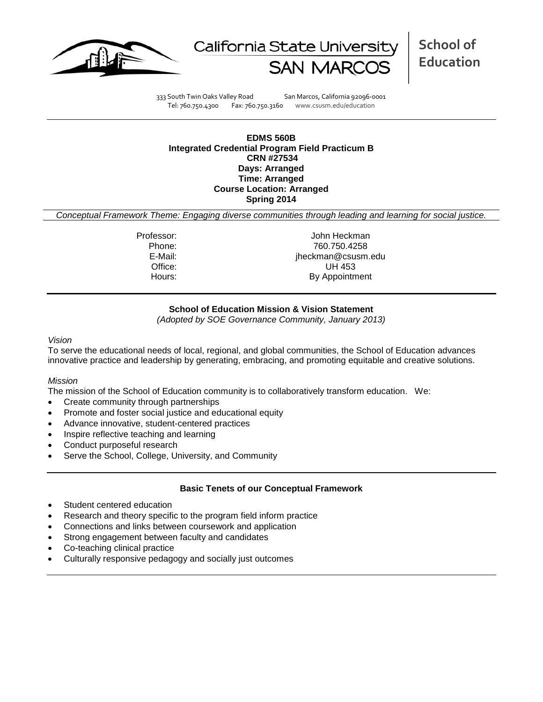



**School of Education**

333 South Twin Oaks Valley Road San Marcos, California 92096-0001 Tel: 760.750.4300 Fax: 760.750.3160 www.csusm.edu/education

### **EDMS 560B Integrated Credential Program Field Practicum B CRN #27534 Days: Arranged Time: Arranged Course Location: Arranged Spring 2014**

*Conceptual Framework Theme: Engaging diverse communities through leading and learning for social justice.*

Professor: John Heckman Phone: 760.750.4258<br>E-Mail: 760.750.4258<br>E-Mail: 760.750.4258 jheckman@csusm.edu Office: UH 453 Hours: By Appointment

## **School of Education Mission & Vision Statement**

*(Adopted by SOE Governance Community, January 2013)*

#### *Vision*

To serve the educational needs of local, regional, and global communities, the School of Education advances innovative practice and leadership by generating, embracing, and promoting equitable and creative solutions.

### *Mission*

The mission of the School of Education community is to collaboratively transform education. We:

- Create community through partnerships
- Promote and foster social justice and educational equity
- Advance innovative, student-centered practices
- Inspire reflective teaching and learning
- Conduct purposeful research
- Serve the School, College, University, and Community

### **Basic Tenets of our Conceptual Framework**

- Student centered education
- Research and theory specific to the program field inform practice
- Connections and links between coursework and application
- Strong engagement between faculty and candidates
- Co-teaching clinical practice
- Culturally responsive pedagogy and socially just outcomes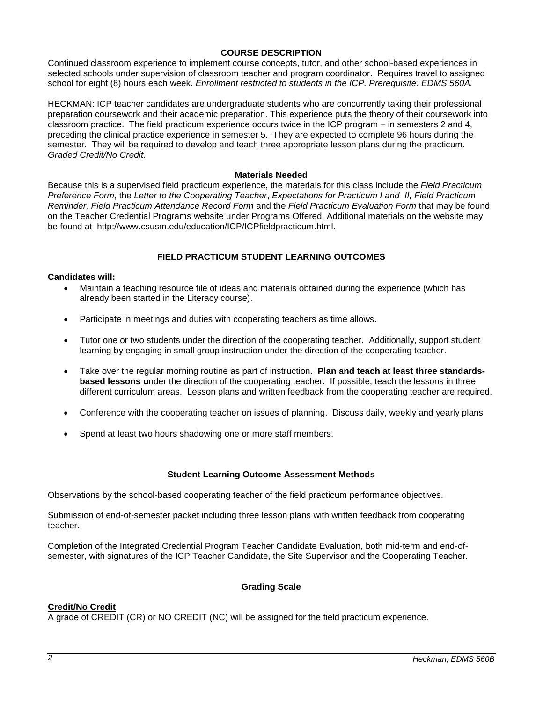## **COURSE DESCRIPTION**

Continued classroom experience to implement course concepts, tutor, and other school-based experiences in selected schools under supervision of classroom teacher and program coordinator. Requires travel to assigned school for eight (8) hours each week. *Enrollment restricted to students in the ICP. Prerequisite: EDMS 560A.*

HECKMAN: ICP teacher candidates are undergraduate students who are concurrently taking their professional preparation coursework and their academic preparation. This experience puts the theory of their coursework into classroom practice. The field practicum experience occurs twice in the ICP program – in semesters 2 and 4, preceding the clinical practice experience in semester 5. They are expected to complete 96 hours during the semester. They will be required to develop and teach three appropriate lesson plans during the practicum. *Graded Credit/No Credit.* 

### **Materials Needed**

Because this is a supervised field practicum experience, the materials for this class include the *Field Practicum Preference Form*, the *Letter to the Cooperating Teacher*, *Expectations for Practicum I and II, Field Practicum Reminder, Field Practicum Attendance Record Form* and the *Field Practicum Evaluation Form* that may be found on the Teacher Credential Programs website under Programs Offered. Additional materials on the website may be found at http://www.csusm.edu/education/ICP/ICPfieldpracticum.html.

# **FIELD PRACTICUM STUDENT LEARNING OUTCOMES**

## **Candidates will:**

- Maintain a teaching resource file of ideas and materials obtained during the experience (which has already been started in the Literacy course).
- Participate in meetings and duties with cooperating teachers as time allows.
- Tutor one or two students under the direction of the cooperating teacher. Additionally, support student learning by engaging in small group instruction under the direction of the cooperating teacher.
- Take over the regular morning routine as part of instruction. **Plan and teach at least three standardsbased lessons u**nder the direction of the cooperating teacher. If possible, teach the lessons in three different curriculum areas. Lesson plans and written feedback from the cooperating teacher are required.
- Conference with the cooperating teacher on issues of planning. Discuss daily, weekly and yearly plans
- Spend at least two hours shadowing one or more staff members.

### **Student Learning Outcome Assessment Methods**

Observations by the school-based cooperating teacher of the field practicum performance objectives.

Submission of end-of-semester packet including three lesson plans with written feedback from cooperating teacher.

Completion of the Integrated Credential Program Teacher Candidate Evaluation, both mid-term and end-ofsemester, with signatures of the ICP Teacher Candidate, the Site Supervisor and the Cooperating Teacher.

### **Grading Scale**

# **Credit/No Credit**

A grade of CREDIT (CR) or NO CREDIT (NC) will be assigned for the field practicum experience.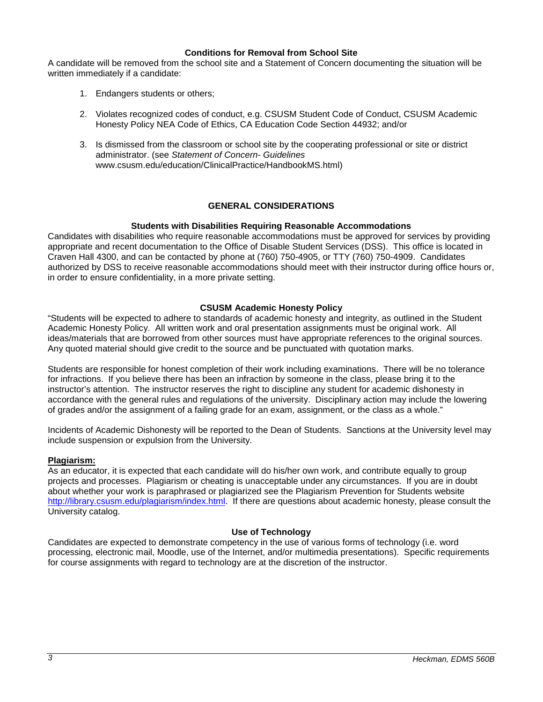### **Conditions for Removal from School Site**

A candidate will be removed from the school site and a Statement of Concern documenting the situation will be written immediately if a candidate:

- 1. Endangers students or others;
- 2. Violates recognized codes of conduct, e.g. CSUSM Student Code of Conduct, CSUSM Academic Honesty Policy NEA Code of Ethics, CA Education Code Section 44932; and/or
- 3. Is dismissed from the classroom or school site by the cooperating professional or site or district administrator. (see *Statement of Concern- Guidelines* www.csusm.edu/education/ClinicalPractice/HandbookMS.html)

# **GENERAL CONSIDERATIONS**

## **Students with Disabilities Requiring Reasonable Accommodations**

Candidates with disabilities who require reasonable accommodations must be approved for services by providing appropriate and recent documentation to the Office of Disable Student Services (DSS). This office is located in Craven Hall 4300, and can be contacted by phone at (760) 750-4905, or TTY (760) 750-4909. Candidates authorized by DSS to receive reasonable accommodations should meet with their instructor during office hours or, in order to ensure confidentiality, in a more private setting.

### **CSUSM Academic Honesty Policy**

"Students will be expected to adhere to standards of academic honesty and integrity, as outlined in the Student Academic Honesty Policy. All written work and oral presentation assignments must be original work. All ideas/materials that are borrowed from other sources must have appropriate references to the original sources. Any quoted material should give credit to the source and be punctuated with quotation marks.

Students are responsible for honest completion of their work including examinations. There will be no tolerance for infractions. If you believe there has been an infraction by someone in the class, please bring it to the instructor's attention. The instructor reserves the right to discipline any student for academic dishonesty in accordance with the general rules and regulations of the university. Disciplinary action may include the lowering of grades and/or the assignment of a failing grade for an exam, assignment, or the class as a whole."

Incidents of Academic Dishonesty will be reported to the Dean of Students. Sanctions at the University level may include suspension or expulsion from the University.

### **Plagiarism:**

As an educator, it is expected that each candidate will do his/her own work, and contribute equally to group projects and processes. Plagiarism or cheating is unacceptable under any circumstances. If you are in doubt about whether your work is paraphrased or plagiarized see the Plagiarism Prevention for Students website [http://library.csusm.edu/plagiarism/index.html.](http://library.csusm.edu/plagiarism/index.html) If there are questions about academic honesty, please consult the University catalog.

# **Use of Technology**

Candidates are expected to demonstrate competency in the use of various forms of technology (i.e. word processing, electronic mail, Moodle, use of the Internet, and/or multimedia presentations). Specific requirements for course assignments with regard to technology are at the discretion of the instructor.